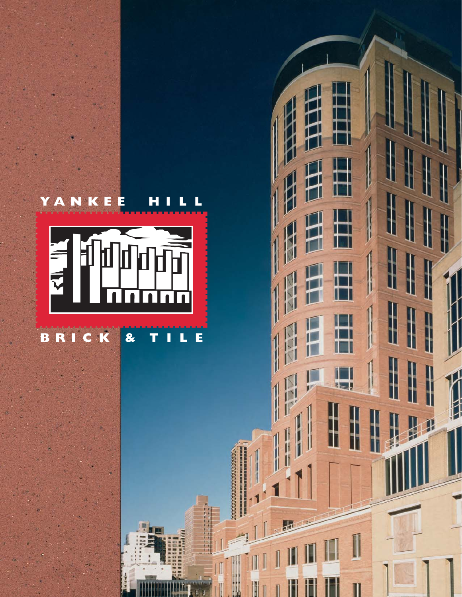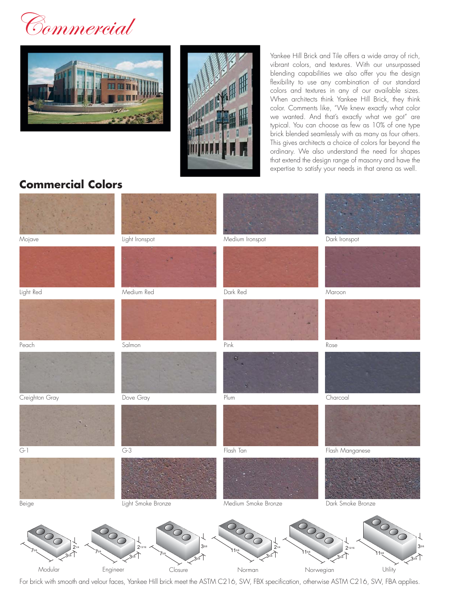Commercial





Yankee Hill Brick and Tile offers a wide array of rich, vibrant colors, and textures. With our unsurpassed blending capabilities we also offer you the design flexibility to use any combination of our standard colors and textures in any of our available sizes. When architects think Yankee Hill Brick, they think color. Comments like, "We knew exactly what color we wanted. And that's exactly what we got" are typical. You can choose as few as 10% of one type brick blended seamlessly with as many as four others. This gives architects a choice of colors far beyond the ordinary. We also understand the need for shapes that extend the design range of masonry and have the expertise to satisfy your needs in that arena as well.

## **Commercial Colors**



For brick with smooth and velour faces, Yankee Hill brick meet the ASTM C216, SW, FBX specification, otherwise ASTM C216, SW, FBA applies.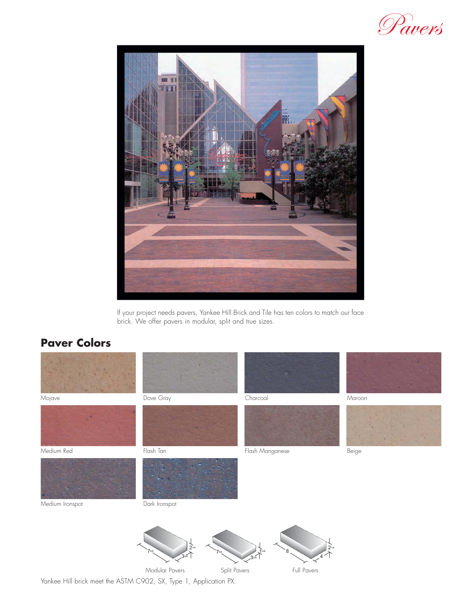



If your project needs pavers, Yankee Hill Brick and Tile has ten colors to match our face brick. We offer pavers in modular, split and true sizes.

## **Paver Colors**



Yankee Hill brick meet the ASTM C902, SX, Type 1, Application PX.